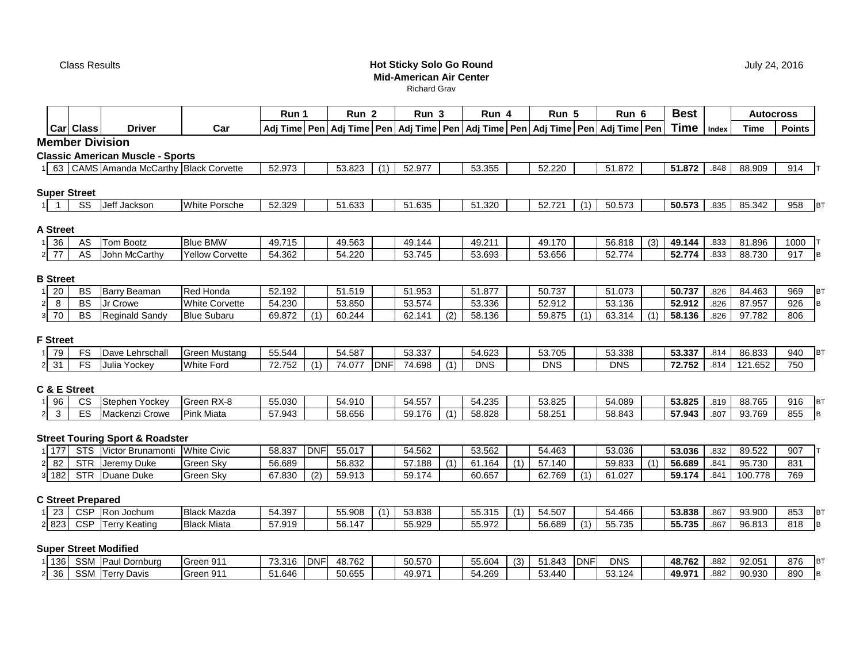Class Results

# **Hot Sticky Solo Go RoundMid-American Air Center**

Richard Grav

|                      |                     |                                            |                        | Run 1            |             | Run 2                                                                                      |            | Run <sub>3</sub> |     | Run 4                |     | Run 5                |     | Run 6                |     | <b>Best</b> |       | <b>Autocross</b> |               |
|----------------------|---------------------|--------------------------------------------|------------------------|------------------|-------------|--------------------------------------------------------------------------------------------|------------|------------------|-----|----------------------|-----|----------------------|-----|----------------------|-----|-------------|-------|------------------|---------------|
|                      | <b>Car Class</b>    | <b>Driver</b>                              | Car                    |                  |             | Adj Time Pen Adj Time Pen Adj Time Pen Adj Time Pen Adj Time Pen Adj Time Pen Adj Time Pen |            |                  |     |                      |     |                      |     |                      |     | Time        | Index | Time             | <b>Points</b> |
|                      |                     | <b>Member Division</b>                     |                        |                  |             |                                                                                            |            |                  |     |                      |     |                      |     |                      |     |             |       |                  |               |
|                      |                     | <b>Classic American Muscle - Sports</b>    |                        |                  |             |                                                                                            |            |                  |     |                      |     |                      |     |                      |     |             |       |                  |               |
|                      |                     | 1 63 CAMS Amanda McCarthy Black Corvette   |                        | 52.973           |             | 53.823                                                                                     | (1)        | 52.977           |     | 53.355               |     | 52.220               |     | 51.872               |     | 51.872      | .848  | 88.909           | 914           |
|                      |                     |                                            |                        |                  |             |                                                                                            |            |                  |     |                      |     |                      |     |                      |     |             |       |                  |               |
|                      | <b>Super Street</b> |                                            |                        |                  |             |                                                                                            |            |                  |     |                      |     |                      |     |                      |     |             |       |                  |               |
|                      | SS                  | Jeff Jackson                               | White Porsche          | 52.329           |             | 51.633                                                                                     |            | 51.635           |     | 51.320               |     | 52.721               | (1) | 50.573               |     | 50.573      | .835  | 85.342           | 958           |
|                      |                     |                                            |                        |                  |             |                                                                                            |            |                  |     |                      |     |                      |     |                      |     |             |       |                  |               |
| A Street             |                     |                                            |                        |                  |             |                                                                                            |            |                  |     |                      |     |                      |     |                      |     |             |       |                  |               |
| 1 36                 | AS                  | <b>Tom Bootz</b>                           | <b>Blue BMW</b>        | 49.715           |             | 49.563                                                                                     |            | 49.144           |     | 49.211               |     | 49.170               |     | 56.818               | (3) | 49.144      | .833  | 81.896           | 1000          |
| $2$ 77               | AS                  | John McCarthy                              | <b>Yellow Corvette</b> | 54.362           |             | 54.220                                                                                     |            | 53.745           |     | 53.693               |     | 53.656               |     | 52.774               |     | 52.774      | .833  | 88.730           | 917           |
|                      |                     |                                            |                        |                  |             |                                                                                            |            |                  |     |                      |     |                      |     |                      |     |             |       |                  |               |
| <b>B</b> Street      |                     |                                            |                        |                  |             |                                                                                            |            |                  |     |                      |     |                      |     |                      |     |             |       |                  |               |
| $1\overline{20}$     | BS                  | Barry Beaman                               | Red Honda              | 52.192           |             | 51.519                                                                                     |            | 51.953           |     | 51.877               |     | 50.737               |     | 51.073               |     | 50.737      | .826  | 84.463           | 969           |
| 8<br>$\mathbf{2}$    | BS                  | Jr Crowe                                   | <b>White Corvette</b>  | 54.230           |             | 53.850                                                                                     |            | 53.574           |     | 53.336               |     | 52.912               |     | 53.136               |     | 52.912      | .826  | 87.957           | 926           |
| 3 70                 | <b>BS</b>           | <b>Reginald Sandy</b>                      | <b>Blue Subaru</b>     | 69.872           | (1)         | 60.244                                                                                     |            | 62.141           | (2) | 58.136               |     | 59.875               | (1) | 63.314               | (1) | 58.136      | .826  | 97.782           | 806           |
|                      |                     |                                            |                        |                  |             |                                                                                            |            |                  |     |                      |     |                      |     |                      |     |             |       |                  |               |
| <b>F</b> Street      |                     |                                            |                        |                  |             |                                                                                            |            |                  |     |                      |     |                      |     |                      |     |             |       |                  |               |
| 1 79                 | FS<br>FS            | Dave Lehrschall                            | <b>Green Mustang</b>   | 55.544<br>72.752 | (1)         | 54.587<br>74.077                                                                           |            | 53.337           | (1) | 54.623<br><b>DNS</b> |     | 53.705<br><b>DNS</b> |     | 53.338<br><b>DNS</b> |     | 53.337      | .814  | 86.833           | 940<br>750    |
| $2 \overline{31}$    |                     | Julia Yockey                               | <b>White Ford</b>      |                  |             |                                                                                            | <b>DNF</b> | 74.698           |     |                      |     |                      |     |                      |     | 72.752      | .814  | 121.652          |               |
|                      | C & E Street        |                                            |                        |                  |             |                                                                                            |            |                  |     |                      |     |                      |     |                      |     |             |       |                  |               |
| 1 96                 | <b>CS</b>           | Stephen Yockey                             | Green RX-8             | 55.030           |             | 54.910                                                                                     |            | 54.557           |     | 54.235               |     | 53.825               |     | 54.089               |     | 53.825      | .819  | 88.765           | 916           |
| 2 <br>$\mathbf{3}$   | ES                  | Mackenzi Crowe                             | <b>Pink Miata</b>      | 57.943           |             | 58.656                                                                                     |            | 59.176           | (1) | 58.828               |     | 58.251               |     | 58.843               |     | 57.943      | .807  | 93.769           | 855           |
|                      |                     |                                            |                        |                  |             |                                                                                            |            |                  |     |                      |     |                      |     |                      |     |             |       |                  |               |
|                      |                     | <b>Street Touring Sport &amp; Roadster</b> |                        |                  |             |                                                                                            |            |                  |     |                      |     |                      |     |                      |     |             |       |                  |               |
| 1 177                |                     | STS Victor Brunamonti                      | <b>White Civic</b>     | 58.837           | <b>IDNF</b> | 55.017                                                                                     |            | 54.562           |     | 53.562               |     | 54.463               |     | 53.036               |     | 53.036      | .832  | 89.522           | 907           |
| 82<br>2 <sub>1</sub> | <b>STR</b>          | Jeremy Duke                                | Green Sky              | 56.689           |             | 56.832                                                                                     |            | 57.188           | (1) | 61.164               | (1) | 57.140               |     | 59.833               | (1) | 56.689      | .841  | 95.730           | 831           |
| 3 182                | <b>STR</b>          | Duane Duke                                 | Green Sky              | 67.830           | (2)         | 59.913                                                                                     |            | 59.174           |     | 60.657               |     | 62.769               | (1) | 61.027               |     | 59.174      | .841  | 100.778          | 769           |
|                      |                     |                                            |                        |                  |             |                                                                                            |            |                  |     |                      |     |                      |     |                      |     |             |       |                  |               |
|                      |                     | <b>C Street Prepared</b>                   |                        |                  |             |                                                                                            |            |                  |     |                      |     |                      |     |                      |     |             |       |                  |               |
| $1 \overline{23}$    |                     | CSP Ron Jochum                             | <b>Black Mazda</b>     | 54.397           |             | 55.908                                                                                     | (1)        | 53.838           |     | 55.315               | (1) | 54.507               |     | 54.466               |     | 53.838      | .867  | 93.900           | 853           |
| 2 8 2 3              | <b>CSP</b>          | <b>Terry Keating</b>                       | <b>Black Miata</b>     | 57.919           |             | 56.147                                                                                     |            | 55.929           |     | 55.972               |     | 56.689               | (1) | 55.735               |     | 55.735      | .867  | 96.813           | 818           |
|                      |                     |                                            |                        |                  |             |                                                                                            |            |                  |     |                      |     |                      |     |                      |     |             |       |                  |               |
|                      |                     | <b>Super Street Modified</b>               |                        |                  |             |                                                                                            |            |                  |     |                      |     |                      |     |                      |     |             |       |                  |               |
| 1 1 3 6              |                     | SSM Paul Dornburg                          | Green 911              | 73.316           | <b>DNF</b>  | 48.762                                                                                     |            | 50.570           |     | 55.604               | (3) | 51.843               | DNF | <b>DNS</b>           |     | 48.762      | .882  | 92.051           | 876           |
| 2 36                 |                     | SSM Terry Davis                            | Green 911              | 51.646           |             | 50.655                                                                                     |            | 49.971           |     | 54.269               |     | 53.440               |     | 53.124               |     | 49.971      | .882  | 90.930           | 890           |
|                      |                     |                                            |                        |                  |             |                                                                                            |            |                  |     |                      |     |                      |     |                      |     |             |       |                  |               |

July 24, 2016